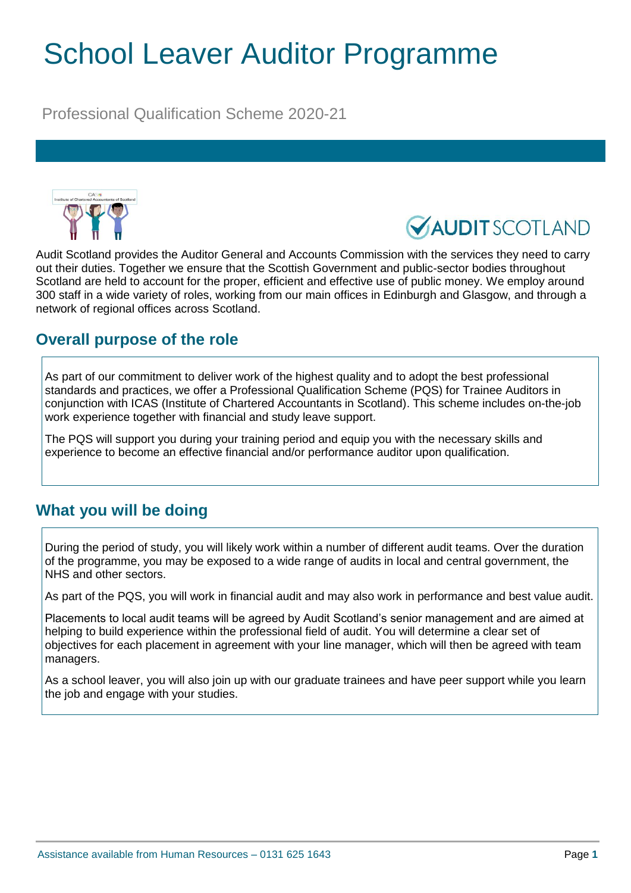# School Leaver Auditor Programme

Professional Qualification Scheme 2020-21





Audit Scotland provides the Auditor General and Accounts Commission with the services they need to carry out their duties. Together we ensure that the Scottish Government and public-sector bodies throughout Scotland are held to account for the proper, efficient and effective use of public money. We employ around 300 staff in a wide variety of roles, working from our main offices in Edinburgh and Glasgow, and through a network of regional offices across Scotland.

## **Overall purpose of the role**

As part of our commitment to deliver work of the highest quality and to adopt the best professional standards and practices, we offer a Professional Qualification Scheme (PQS) for Trainee Auditors in conjunction with ICAS (Institute of Chartered Accountants in Scotland). This scheme includes on-the-job work experience together with financial and study leave support.

The PQS will support you during your training period and equip you with the necessary skills and experience to become an effective financial and/or performance auditor upon qualification.

#### **What you will be doing**

During the period of study, you will likely work within a number of different audit teams. Over the duration of the programme, you may be exposed to a wide range of audits in local and central government, the NHS and other sectors.

As part of the PQS, you will work in financial audit and may also work in performance and best value audit.

Placements to local audit teams will be agreed by Audit Scotland's senior management and are aimed at helping to build experience within the professional field of audit. You will determine a clear set of objectives for each placement in agreement with your line manager, which will then be agreed with team managers.

As a school leaver, you will also join up with our graduate trainees and have peer support while you learn the job and engage with your studies.